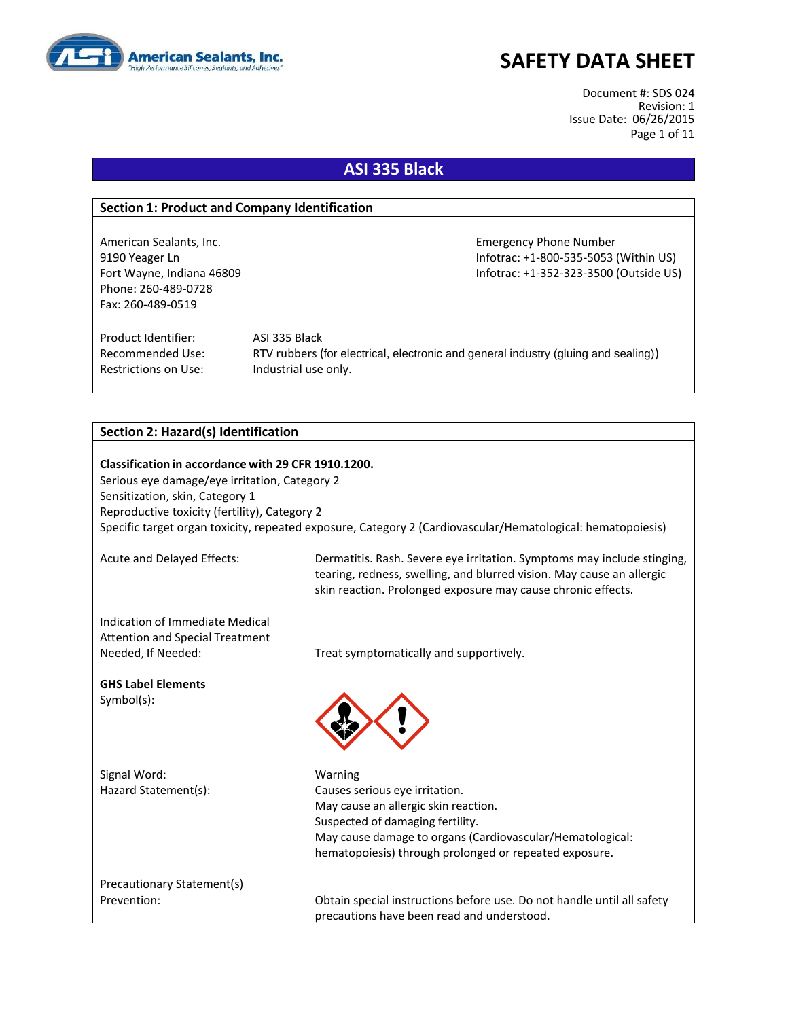

Document #: SDS 024 Revision: 1 Issue Date: 06/26/2015 Page 1 of 11

## **ASI 335 Black**

#### **Section 1: Product and Company Identification**

American Sealants, Inc. **Emergency Phone Number** Emergency Phone Number Phone: 260-489-0728 Fax: 260-489-0519

9190 Yeager Ln Infotrac: +1-800-535-5053 (Within US) Fort Wayne, Indiana 46809 **Information Controller Mayne, Information Controller Controller Controller Controller** 

Product Identifier: ASI 335 Black Restrictions on Use: Industrial use only.

Recommended Use: RTV rubbers (for electrical, electronic and general industry (gluing and sealing))

#### **Section 2: Hazard(s) Identification**

**Classification in accordance with 29 CFR 1910.1200.** Serious eye damage/eye irritation, Category 2 Sensitization, skin, Category 1 Reproductive toxicity (fertility), Category 2 Specific target organ toxicity, repeated exposure, Category 2 (Cardiovascular/Hematological: hematopoiesis)

Acute and Delayed Effects: Dermatitis. Rash. Severe eye irritation. Symptoms may include stinging, tearing, redness, swelling, and blurred vision. May cause an allergic skin reaction. Prolonged exposure may cause chronic effects.

Indication of Immediate Medical Attention and Special Treatment

**GHS Label Elements** Symbol(s):

Signal Word: Warning

Needed, If Needed: Treat symptomatically and supportively.



Hazard Statement(s): Causes serious eye irritation. May cause an allergic skin reaction. Suspected of damaging fertility. May cause damage to organs (Cardiovascular/Hematological: hematopoiesis) through prolonged or repeated exposure.

Precautionary Statement(s)

Prevention: Obtain special instructions before use. Do not handle until all safety precautions have been read and understood.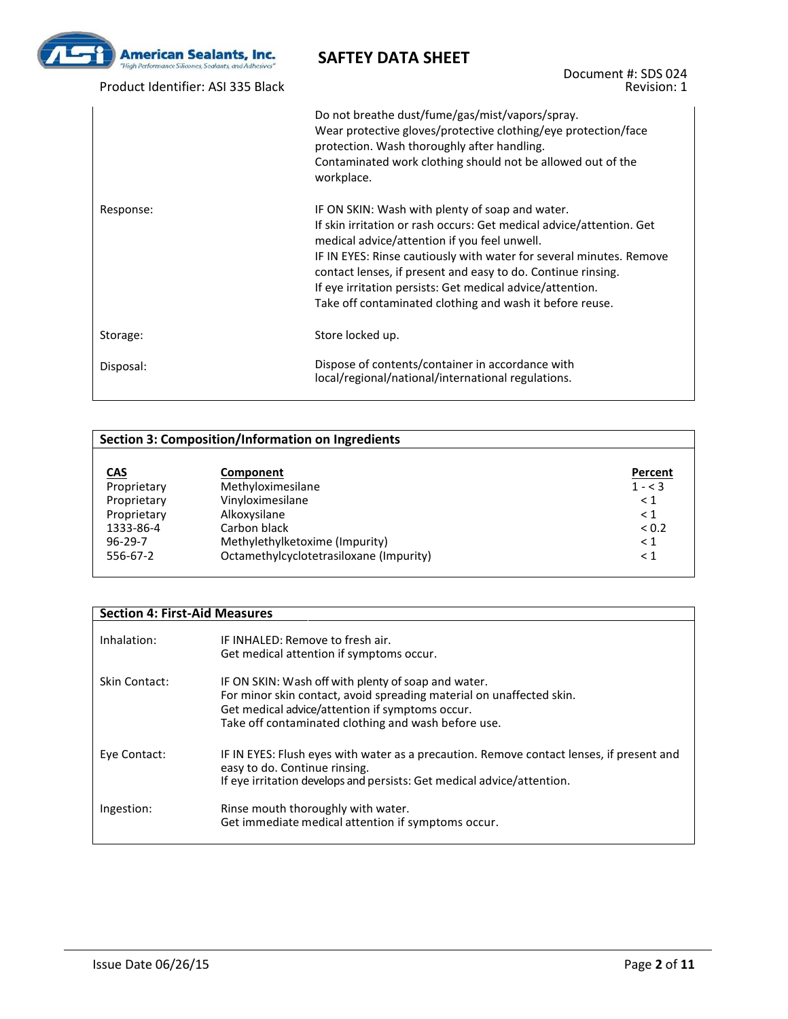

Product Identifier: ASI 335 Black

Document #: SDS 024 Revision: 1

|           | Do not breathe dust/fume/gas/mist/vapors/spray.<br>Wear protective gloves/protective clothing/eye protection/face<br>protection. Wash thoroughly after handling.<br>Contaminated work clothing should not be allowed out of the<br>workplace.                                                                                                                                                                                           |
|-----------|-----------------------------------------------------------------------------------------------------------------------------------------------------------------------------------------------------------------------------------------------------------------------------------------------------------------------------------------------------------------------------------------------------------------------------------------|
| Response: | IF ON SKIN: Wash with plenty of soap and water.<br>If skin irritation or rash occurs: Get medical advice/attention. Get<br>medical advice/attention if you feel unwell.<br>IF IN EYES: Rinse cautiously with water for several minutes. Remove<br>contact lenses, if present and easy to do. Continue rinsing.<br>If eye irritation persists: Get medical advice/attention.<br>Take off contaminated clothing and wash it before reuse. |
| Storage:  | Store locked up.                                                                                                                                                                                                                                                                                                                                                                                                                        |
| Disposal: | Dispose of contents/container in accordance with<br>local/regional/national/international regulations.                                                                                                                                                                                                                                                                                                                                  |

| <b>Section 3: Composition/Information on Ingredients</b> |                                         |           |
|----------------------------------------------------------|-----------------------------------------|-----------|
|                                                          |                                         |           |
| <b>CAS</b>                                               | Component                               | Percent   |
| Proprietary                                              | Methyloximesilane                       | $1 - < 3$ |
| Proprietary                                              | Vinyloximesilane                        | $\leq 1$  |
| Proprietary                                              | Alkoxysilane                            | $\leq 1$  |
| 1333-86-4                                                | Carbon black                            | < 0.2     |
| $96 - 29 - 7$                                            | Methylethylketoxime (Impurity)          | $\leq 1$  |
| 556-67-2                                                 | Octamethylcyclotetrasiloxane (Impurity) | $\leq 1$  |

#### **Section 4: First-Aid Measures**

| Inhalation:   | IF INHALFD: Remove to fresh air.<br>Get medical attention if symptoms occur.                                                                                                                                                          |
|---------------|---------------------------------------------------------------------------------------------------------------------------------------------------------------------------------------------------------------------------------------|
| Skin Contact: | IF ON SKIN: Wash off with plenty of soap and water.<br>For minor skin contact, avoid spreading material on unaffected skin.<br>Get medical advice/attention if symptoms occur.<br>Take off contaminated clothing and wash before use. |
| Eye Contact:  | IF IN EYES: Flush eyes with water as a precaution. Remove contact lenses, if present and<br>easy to do. Continue rinsing.<br>If eye irritation develops and persists: Get medical advice/attention.                                   |
| Ingestion:    | Rinse mouth thoroughly with water.<br>Get immediate medical attention if symptoms occur.                                                                                                                                              |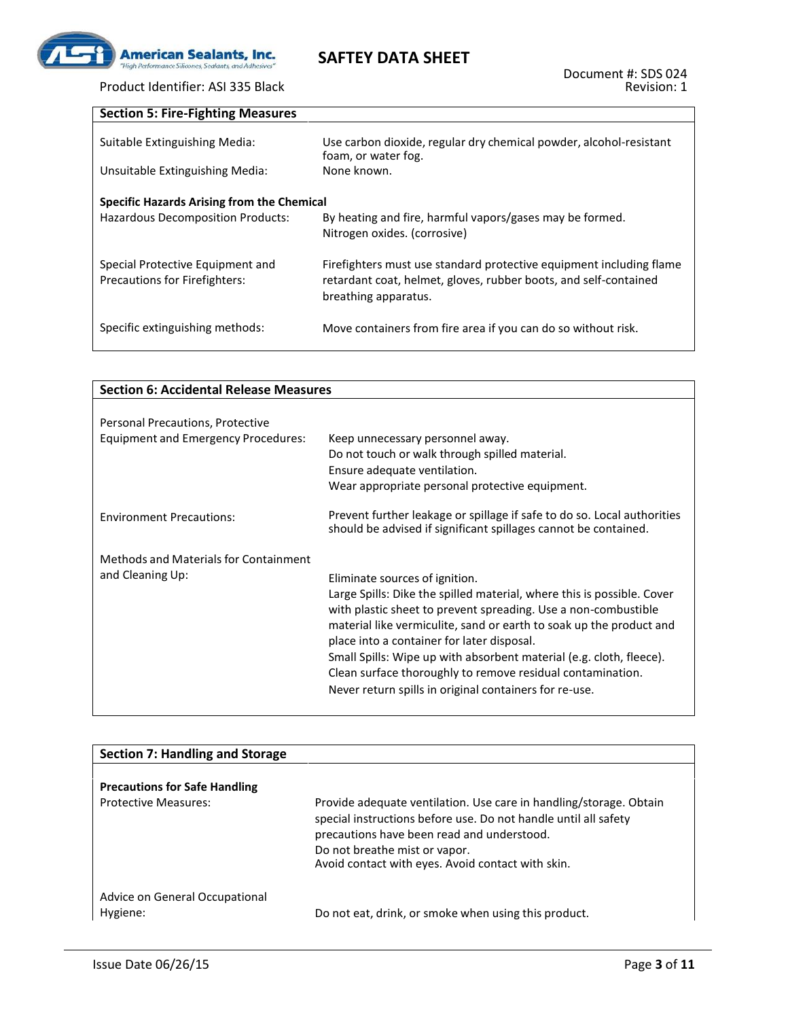

# Product Identifier: ASI 335 Black **Section 5: Fire-Fighting Measures**

| Suitable Extinguishing Media:<br>Unsuitable Extinguishing Media:         | Use carbon dioxide, regular dry chemical powder, alcohol-resistant<br>foam, or water fog.<br>None known.                                                        |
|--------------------------------------------------------------------------|-----------------------------------------------------------------------------------------------------------------------------------------------------------------|
| Specific Hazards Arising from the Chemical                               |                                                                                                                                                                 |
| Hazardous Decomposition Products:                                        | By heating and fire, harmful vapors/gases may be formed.<br>Nitrogen oxides. (corrosive)                                                                        |
| Special Protective Equipment and<br><b>Precautions for Firefighters:</b> | Firefighters must use standard protective equipment including flame<br>retardant coat, helmet, gloves, rubber boots, and self-contained<br>breathing apparatus. |
| Specific extinguishing methods:                                          | Move containers from fire area if you can do so without risk.                                                                                                   |

| <b>Section 6: Accidental Release Measures</b> |                                                                                                                                            |  |  |
|-----------------------------------------------|--------------------------------------------------------------------------------------------------------------------------------------------|--|--|
|                                               |                                                                                                                                            |  |  |
| Personal Precautions, Protective              |                                                                                                                                            |  |  |
| <b>Equipment and Emergency Procedures:</b>    | Keep unnecessary personnel away.<br>Do not touch or walk through spilled material.                                                         |  |  |
|                                               | Ensure adequate ventilation.                                                                                                               |  |  |
|                                               | Wear appropriate personal protective equipment.                                                                                            |  |  |
| <b>Environment Precautions:</b>               | Prevent further leakage or spillage if safe to do so. Local authorities<br>should be advised if significant spillages cannot be contained. |  |  |
| Methods and Materials for Containment         |                                                                                                                                            |  |  |
| and Cleaning Up:                              | Eliminate sources of ignition.                                                                                                             |  |  |
|                                               | Large Spills: Dike the spilled material, where this is possible. Cover<br>with plastic sheet to prevent spreading. Use a non-combustible   |  |  |
|                                               | material like vermiculite, sand or earth to soak up the product and<br>place into a container for later disposal.                          |  |  |
|                                               | Small Spills: Wipe up with absorbent material (e.g. cloth, fleece).                                                                        |  |  |
|                                               | Clean surface thoroughly to remove residual contamination.                                                                                 |  |  |
|                                               | Never return spills in original containers for re-use.                                                                                     |  |  |

| <b>Section 7: Handling and Storage</b>     |                                                                                                                                                                                                                                                                           |
|--------------------------------------------|---------------------------------------------------------------------------------------------------------------------------------------------------------------------------------------------------------------------------------------------------------------------------|
| <b>Precautions for Safe Handling</b>       |                                                                                                                                                                                                                                                                           |
| <b>Protective Measures:</b>                | Provide adequate ventilation. Use care in handling/storage. Obtain<br>special instructions before use. Do not handle until all safety<br>precautions have been read and understood.<br>Do not breathe mist or vapor.<br>Avoid contact with eyes. Avoid contact with skin. |
| Advice on General Occupational<br>Hygiene: | Do not eat, drink, or smoke when using this product.                                                                                                                                                                                                                      |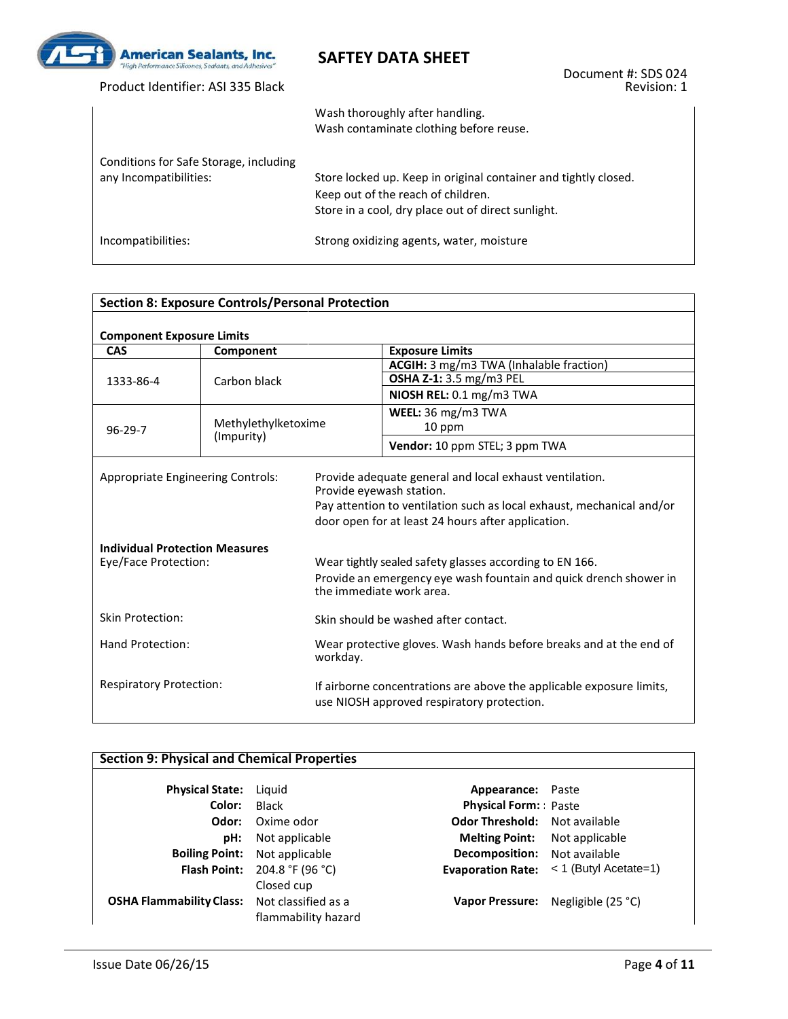

Product Identifier: ASI 335 Black

Document #: SDS 024 Revision: 1

|                                                                  | Wash thoroughly after handling.<br>Wash contaminate clothing before reuse.                                                                                  |
|------------------------------------------------------------------|-------------------------------------------------------------------------------------------------------------------------------------------------------------|
| Conditions for Safe Storage, including<br>any Incompatibilities: | Store locked up. Keep in original container and tightly closed.<br>Keep out of the reach of children.<br>Store in a cool, dry place out of direct sunlight. |
| Incompatibilities:                                               | Strong oxidizing agents, water, moisture                                                                                                                    |

| <b>Section 8: Exposure Controls/Personal Protection</b>                                            |                                                                                |                                                                                                                    |                                                                                                                                                                                                                                                                                                                                                    |  |
|----------------------------------------------------------------------------------------------------|--------------------------------------------------------------------------------|--------------------------------------------------------------------------------------------------------------------|----------------------------------------------------------------------------------------------------------------------------------------------------------------------------------------------------------------------------------------------------------------------------------------------------------------------------------------------------|--|
| <b>Component Exposure Limits</b>                                                                   |                                                                                |                                                                                                                    |                                                                                                                                                                                                                                                                                                                                                    |  |
| <b>CAS</b>                                                                                         | Component                                                                      |                                                                                                                    | <b>Exposure Limits</b>                                                                                                                                                                                                                                                                                                                             |  |
|                                                                                                    |                                                                                |                                                                                                                    | ACGIH: 3 mg/m3 TWA (Inhalable fraction)                                                                                                                                                                                                                                                                                                            |  |
| 1333-86-4                                                                                          | Carbon black                                                                   |                                                                                                                    | OSHA Z-1: 3.5 mg/m3 PEL                                                                                                                                                                                                                                                                                                                            |  |
|                                                                                                    |                                                                                |                                                                                                                    | NIOSH REL: 0.1 mg/m3 TWA                                                                                                                                                                                                                                                                                                                           |  |
|                                                                                                    |                                                                                |                                                                                                                    | WEEL: 36 mg/m3 TWA                                                                                                                                                                                                                                                                                                                                 |  |
| $96 - 29 - 7$                                                                                      | Methylethylketoxime                                                            |                                                                                                                    | 10 ppm                                                                                                                                                                                                                                                                                                                                             |  |
|                                                                                                    | (Impurity)                                                                     |                                                                                                                    | Vendor: 10 ppm STEL; 3 ppm TWA                                                                                                                                                                                                                                                                                                                     |  |
| Appropriate Engineering Controls:<br><b>Individual Protection Measures</b><br>Eye/Face Protection: |                                                                                | Provide eyewash station.                                                                                           | Provide adequate general and local exhaust ventilation.<br>Pay attention to ventilation such as local exhaust, mechanical and/or<br>door open for at least 24 hours after application.<br>Wear tightly sealed safety glasses according to EN 166.<br>Provide an emergency eye wash fountain and quick drench shower in<br>the immediate work area. |  |
| <b>Skin Protection:</b>                                                                            |                                                                                |                                                                                                                    | Skin should be washed after contact.                                                                                                                                                                                                                                                                                                               |  |
| Hand Protection:                                                                                   | Wear protective gloves. Wash hands before breaks and at the end of<br>workday. |                                                                                                                    |                                                                                                                                                                                                                                                                                                                                                    |  |
| <b>Respiratory Protection:</b>                                                                     |                                                                                | If airborne concentrations are above the applicable exposure limits,<br>use NIOSH approved respiratory protection. |                                                                                                                                                                                                                                                                                                                                                    |  |

## **Section 9: Physical and Chemical Properties**

| <b>Physical State:</b> Liquid                       |                                      | <b>Appearance:</b> Paste             |                                                    |
|-----------------------------------------------------|--------------------------------------|--------------------------------------|----------------------------------------------------|
| Color:                                              | Black                                | <b>Physical Form:</b> Paste          |                                                    |
| Odor:                                               | Oxime odor                           | <b>Odor Threshold:</b> Not available |                                                    |
| pH:                                                 | Not applicable                       | <b>Melting Point:</b> Not applicable |                                                    |
|                                                     | <b>Boiling Point:</b> Not applicable | <b>Decomposition:</b> Not available  |                                                    |
|                                                     | <b>Flash Point:</b> 204.8 °F (96 °C) |                                      | <b>Evaporation Rate:</b> $\lt$ 1 (Butyl Acetate=1) |
|                                                     | Closed cup                           |                                      |                                                    |
| <b>OSHA Flammability Class:</b> Not classified as a |                                      |                                      | Vapor Pressure: Negligible (25 °C)                 |
|                                                     | flammability hazard                  |                                      |                                                    |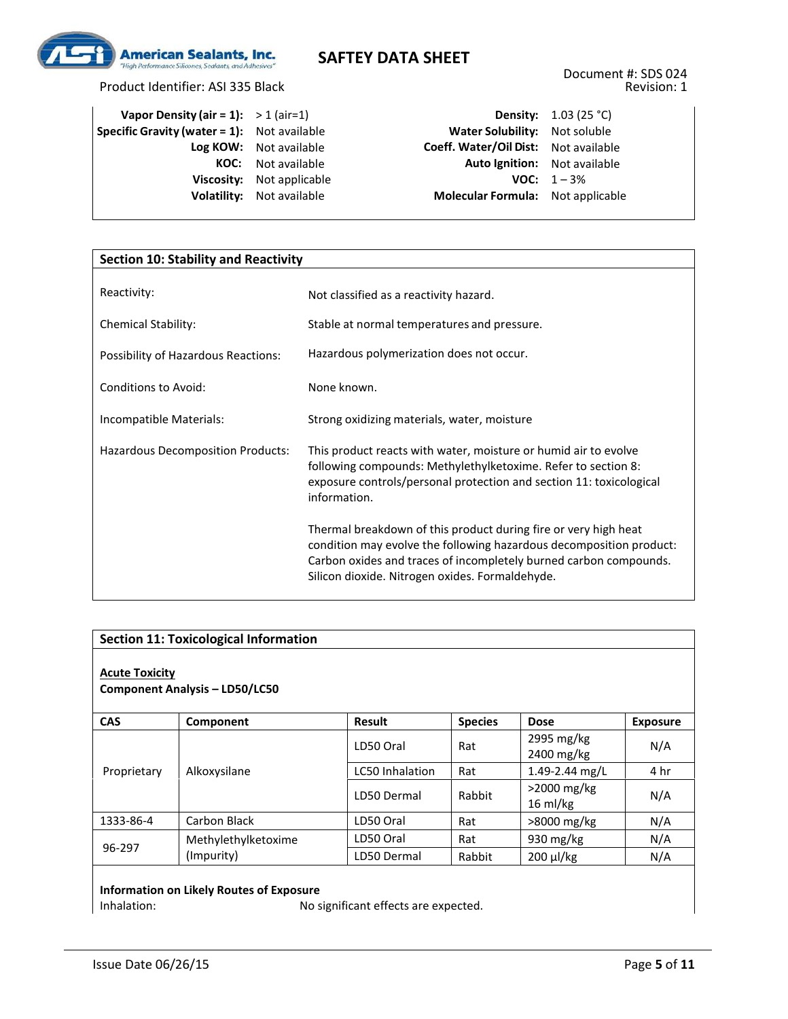

Product Identifier: ASI 335 Black

| <b>Vapor Density (air = 1):</b> $> 1$ (air=1)      |                                  |
|----------------------------------------------------|----------------------------------|
| <b>Specific Gravity (water = 1):</b> Not available |                                  |
|                                                    | Log KOW: Not available           |
|                                                    | <b>KOC:</b> Not available        |
|                                                    | <b>Viscosity:</b> Not applicable |
|                                                    | <b>Volatility:</b> Not available |
|                                                    |                                  |

**Density:** 1.03 (25 °C) **Water Solubility:** Not soluble **Log KOW:** Not available **Coeff. Water/Oil Dist:** Not available **Auto Ignition:** Not available **VOC:**  $1 - 3\%$ **Molecular Formula:** Not applicable

| <b>Section 10: Stability and Reactivity</b> |                                                                                                                                                                                                                                                                |  |
|---------------------------------------------|----------------------------------------------------------------------------------------------------------------------------------------------------------------------------------------------------------------------------------------------------------------|--|
|                                             |                                                                                                                                                                                                                                                                |  |
| Reactivity:                                 | Not classified as a reactivity hazard.                                                                                                                                                                                                                         |  |
| <b>Chemical Stability:</b>                  | Stable at normal temperatures and pressure.                                                                                                                                                                                                                    |  |
| Possibility of Hazardous Reactions:         | Hazardous polymerization does not occur.                                                                                                                                                                                                                       |  |
| Conditions to Avoid:                        | None known.                                                                                                                                                                                                                                                    |  |
| Incompatible Materials:                     | Strong oxidizing materials, water, moisture                                                                                                                                                                                                                    |  |
| Hazardous Decomposition Products:           | This product reacts with water, moisture or humid air to evolve<br>following compounds: Methylethylketoxime. Refer to section 8:<br>exposure controls/personal protection and section 11: toxicological<br>information.                                        |  |
|                                             | Thermal breakdown of this product during fire or very high heat<br>condition may evolve the following hazardous decomposition product:<br>Carbon oxides and traces of incompletely burned carbon compounds.<br>Silicon dioxide. Nitrogen oxides. Formaldehyde. |  |

| <b>Section 11: Toxicological Information</b>            |                     |                        |                |                                      |                 |
|---------------------------------------------------------|---------------------|------------------------|----------------|--------------------------------------|-----------------|
| <b>Acute Toxicity</b><br>Component Analysis - LD50/LC50 |                     |                        |                |                                      |                 |
| <b>CAS</b>                                              | Component           | Result                 | <b>Species</b> | <b>Dose</b>                          | <b>Exposure</b> |
|                                                         |                     | LD50 Oral              | Rat            | 2995 mg/kg<br>2400 mg/kg             | N/A             |
| Proprietary                                             | Alkoxysilane        | <b>LC50 Inhalation</b> | Rat            | 1.49-2.44 mg/L                       | 4 hr            |
|                                                         |                     | LD50 Dermal            | Rabbit         | $>$ 2000 mg/kg<br>$16 \text{ ml/kg}$ | N/A             |
| 1333-86-4                                               | Carbon Black        | LD50 Oral              | Rat            | >8000 mg/kg                          | N/A             |
| 96-297                                                  | Methylethylketoxime | LD50 Oral              | Rat            | 930 mg/kg                            | N/A             |
|                                                         | (Impurity)          | LD50 Dermal            | Rabbit         | 200 µl/kg                            | N/A             |

# **Information on Likely Routes of Exposure**

No significant effects are expected.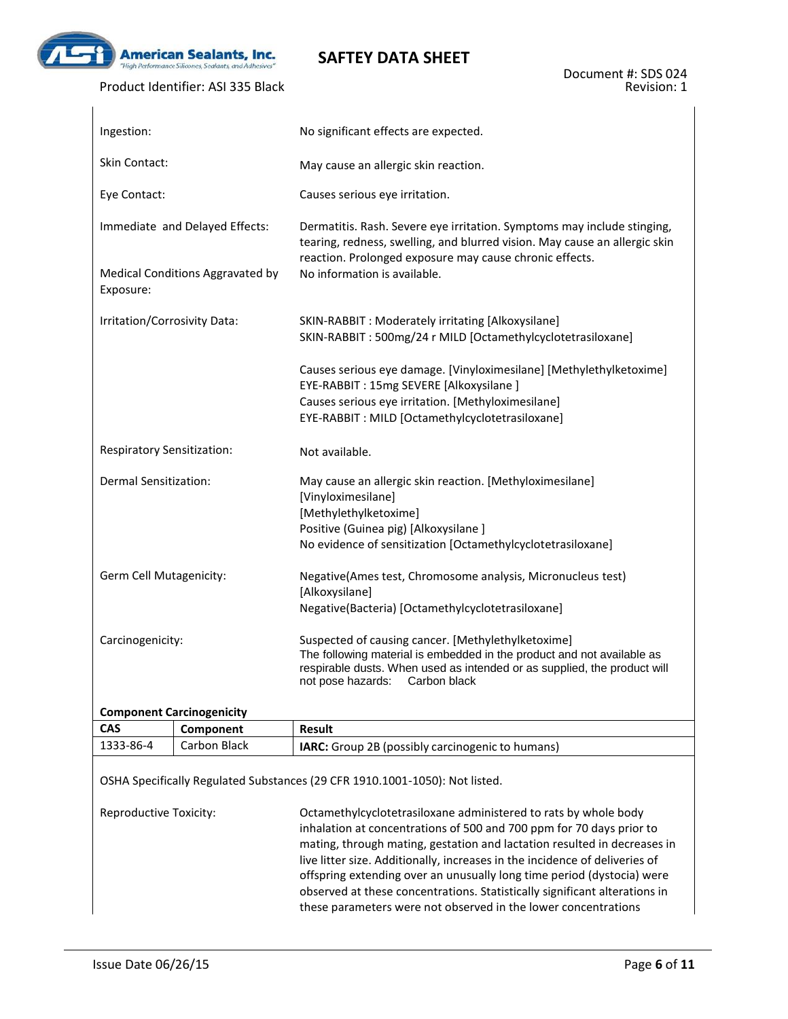

 $\overline{1}$ 

## **SAFTEY DATA SHEET**

#### Product Identifier: ASI 335 Black

| Ingestion:                                    | No significant effects are expected.                                                                                                                                                                                                       |  |  |  |
|-----------------------------------------------|--------------------------------------------------------------------------------------------------------------------------------------------------------------------------------------------------------------------------------------------|--|--|--|
| <b>Skin Contact:</b>                          | May cause an allergic skin reaction.                                                                                                                                                                                                       |  |  |  |
| Eye Contact:                                  | Causes serious eye irritation.                                                                                                                                                                                                             |  |  |  |
| Immediate and Delayed Effects:                | Dermatitis. Rash. Severe eye irritation. Symptoms may include stinging,<br>tearing, redness, swelling, and blurred vision. May cause an allergic skin<br>reaction. Prolonged exposure may cause chronic effects.                           |  |  |  |
| Medical Conditions Aggravated by<br>Exposure: | No information is available.                                                                                                                                                                                                               |  |  |  |
| Irritation/Corrosivity Data:                  | SKIN-RABBIT: Moderately irritating [Alkoxysilane]<br>SKIN-RABBIT: 500mg/24 r MILD [Octamethylcyclotetrasiloxane]                                                                                                                           |  |  |  |
|                                               | Causes serious eye damage. [Vinyloximesilane] [Methylethylketoxime]<br>EYE-RABBIT: 15mg SEVERE [Alkoxysilane ]<br>Causes serious eye irritation. [Methyloximesilane]<br>EYE-RABBIT: MILD [Octamethylcyclotetrasiloxane]                    |  |  |  |
| Respiratory Sensitization:                    | Not available.                                                                                                                                                                                                                             |  |  |  |
| Dermal Sensitization:                         | May cause an allergic skin reaction. [Methyloximesilane]<br>[Vinyloximesilane]<br>[Methylethylketoxime]<br>Positive (Guinea pig) [Alkoxysilane]<br>No evidence of sensitization [Octamethylcyclotetrasiloxane]                             |  |  |  |
| Germ Cell Mutagenicity:                       | Negative(Ames test, Chromosome analysis, Micronucleus test)<br>[Alkoxysilane]<br>Negative(Bacteria) [Octamethylcyclotetrasiloxane]                                                                                                         |  |  |  |
| Carcinogenicity:                              | Suspected of causing cancer. [Methylethylketoxime]<br>The following material is embedded in the product and not available as<br>respirable dusts. When used as intended or as supplied, the product will<br>not pose hazards: Carbon black |  |  |  |

#### **Component Carcinogenicity**

| CAS       | Component    | Result                                                  |
|-----------|--------------|---------------------------------------------------------|
| 1333-86-4 | Carbon Black | <b>IARC:</b> Group 2B (possibly carcinogenic to humans) |

OSHA Specifically Regulated Substances (29 CFR 1910.1001-1050): Not listed.

Reproductive Toxicity: Octamethylcyclotetrasiloxane administered to rats by whole body inhalation at concentrations of 500 and 700 ppm for 70 days prior to mating, through mating, gestation and lactation resulted in decreases in live litter size. Additionally, increases in the incidence of deliveries of offspring extending over an unusually long time period (dystocia) were observed at these concentrations. Statistically significant alterations in these parameters were not observed in the lower concentrations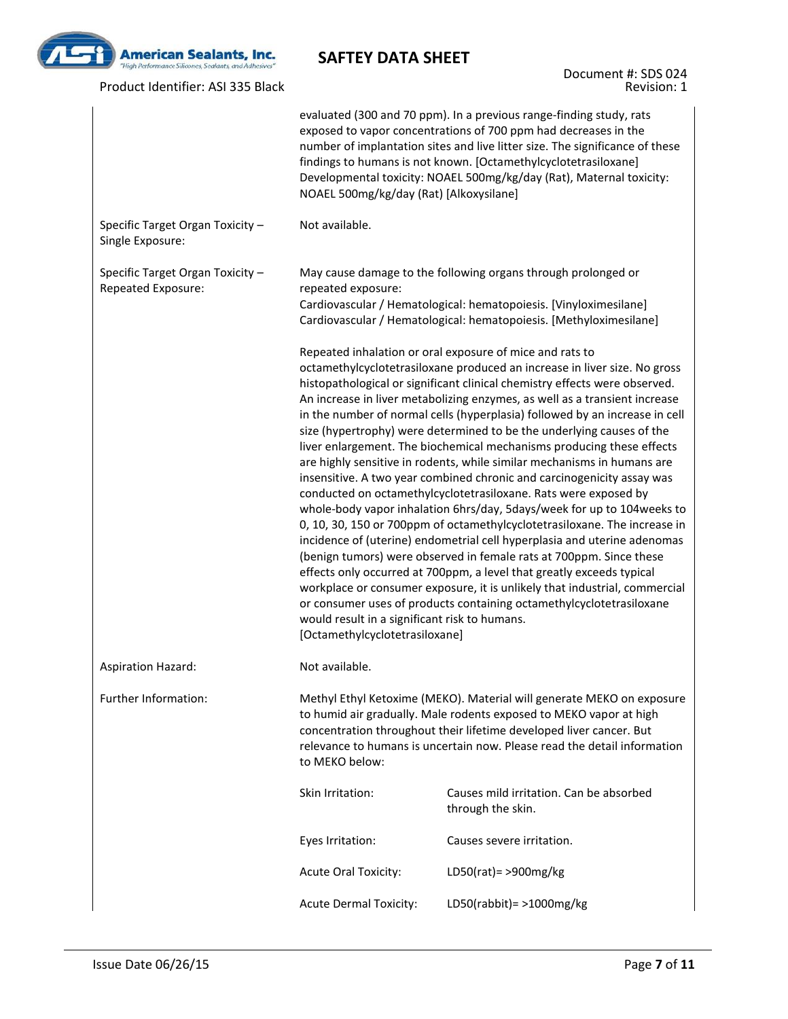

Product Identifier: ASI 335 Black

Document #: SDS 024 Revision: 1

|                                                        | NOAEL 500mg/kg/day (Rat) [Alkoxysilane]                                                                                                                                                                                                                                                                          | evaluated (300 and 70 ppm). In a previous range-finding study, rats<br>exposed to vapor concentrations of 700 ppm had decreases in the<br>number of implantation sites and live litter size. The significance of these<br>findings to humans is not known. [Octamethylcyclotetrasiloxane]<br>Developmental toxicity: NOAEL 500mg/kg/day (Rat), Maternal toxicity:                                                                                                                                                                                                                                                                                                                                                                                                                                                                                                                                                                                                                                                                                                                                                                                                                                                                                                                                   |  |  |
|--------------------------------------------------------|------------------------------------------------------------------------------------------------------------------------------------------------------------------------------------------------------------------------------------------------------------------------------------------------------------------|-----------------------------------------------------------------------------------------------------------------------------------------------------------------------------------------------------------------------------------------------------------------------------------------------------------------------------------------------------------------------------------------------------------------------------------------------------------------------------------------------------------------------------------------------------------------------------------------------------------------------------------------------------------------------------------------------------------------------------------------------------------------------------------------------------------------------------------------------------------------------------------------------------------------------------------------------------------------------------------------------------------------------------------------------------------------------------------------------------------------------------------------------------------------------------------------------------------------------------------------------------------------------------------------------------|--|--|
| Specific Target Organ Toxicity -<br>Single Exposure:   | Not available.                                                                                                                                                                                                                                                                                                   |                                                                                                                                                                                                                                                                                                                                                                                                                                                                                                                                                                                                                                                                                                                                                                                                                                                                                                                                                                                                                                                                                                                                                                                                                                                                                                     |  |  |
| Specific Target Organ Toxicity -<br>Repeated Exposure: | repeated exposure:                                                                                                                                                                                                                                                                                               | May cause damage to the following organs through prolonged or<br>Cardiovascular / Hematological: hematopoiesis. [Vinyloximesilane]<br>Cardiovascular / Hematological: hematopoiesis. [Methyloximesilane]                                                                                                                                                                                                                                                                                                                                                                                                                                                                                                                                                                                                                                                                                                                                                                                                                                                                                                                                                                                                                                                                                            |  |  |
|                                                        | would result in a significant risk to humans.<br>[Octamethylcyclotetrasiloxane]                                                                                                                                                                                                                                  | Repeated inhalation or oral exposure of mice and rats to<br>octamethylcyclotetrasiloxane produced an increase in liver size. No gross<br>histopathological or significant clinical chemistry effects were observed.<br>An increase in liver metabolizing enzymes, as well as a transient increase<br>in the number of normal cells (hyperplasia) followed by an increase in cell<br>size (hypertrophy) were determined to be the underlying causes of the<br>liver enlargement. The biochemical mechanisms producing these effects<br>are highly sensitive in rodents, while similar mechanisms in humans are<br>insensitive. A two year combined chronic and carcinogenicity assay was<br>conducted on octamethylcyclotetrasiloxane. Rats were exposed by<br>whole-body vapor inhalation 6hrs/day, 5days/week for up to 104weeks to<br>0, 10, 30, 150 or 700ppm of octamethylcyclotetrasiloxane. The increase in<br>incidence of (uterine) endometrial cell hyperplasia and uterine adenomas<br>(benign tumors) were observed in female rats at 700ppm. Since these<br>effects only occurred at 700ppm, a level that greatly exceeds typical<br>workplace or consumer exposure, it is unlikely that industrial, commercial<br>or consumer uses of products containing octamethylcyclotetrasiloxane |  |  |
| <b>Aspiration Hazard:</b>                              | Not available.                                                                                                                                                                                                                                                                                                   |                                                                                                                                                                                                                                                                                                                                                                                                                                                                                                                                                                                                                                                                                                                                                                                                                                                                                                                                                                                                                                                                                                                                                                                                                                                                                                     |  |  |
| Further Information:                                   | Methyl Ethyl Ketoxime (MEKO). Material will generate MEKO on exposure<br>to humid air gradually. Male rodents exposed to MEKO vapor at high<br>concentration throughout their lifetime developed liver cancer. But<br>relevance to humans is uncertain now. Please read the detail information<br>to MEKO below: |                                                                                                                                                                                                                                                                                                                                                                                                                                                                                                                                                                                                                                                                                                                                                                                                                                                                                                                                                                                                                                                                                                                                                                                                                                                                                                     |  |  |
|                                                        | Skin Irritation:                                                                                                                                                                                                                                                                                                 | Causes mild irritation. Can be absorbed<br>through the skin.                                                                                                                                                                                                                                                                                                                                                                                                                                                                                                                                                                                                                                                                                                                                                                                                                                                                                                                                                                                                                                                                                                                                                                                                                                        |  |  |
|                                                        | Eyes Irritation:                                                                                                                                                                                                                                                                                                 | Causes severe irritation.                                                                                                                                                                                                                                                                                                                                                                                                                                                                                                                                                                                                                                                                                                                                                                                                                                                                                                                                                                                                                                                                                                                                                                                                                                                                           |  |  |
|                                                        | <b>Acute Oral Toxicity:</b>                                                                                                                                                                                                                                                                                      | LD50(rat) = $>900$ mg/kg                                                                                                                                                                                                                                                                                                                                                                                                                                                                                                                                                                                                                                                                                                                                                                                                                                                                                                                                                                                                                                                                                                                                                                                                                                                                            |  |  |
|                                                        | <b>Acute Dermal Toxicity:</b>                                                                                                                                                                                                                                                                                    | LD50(rabbit) = $>1000$ mg/kg                                                                                                                                                                                                                                                                                                                                                                                                                                                                                                                                                                                                                                                                                                                                                                                                                                                                                                                                                                                                                                                                                                                                                                                                                                                                        |  |  |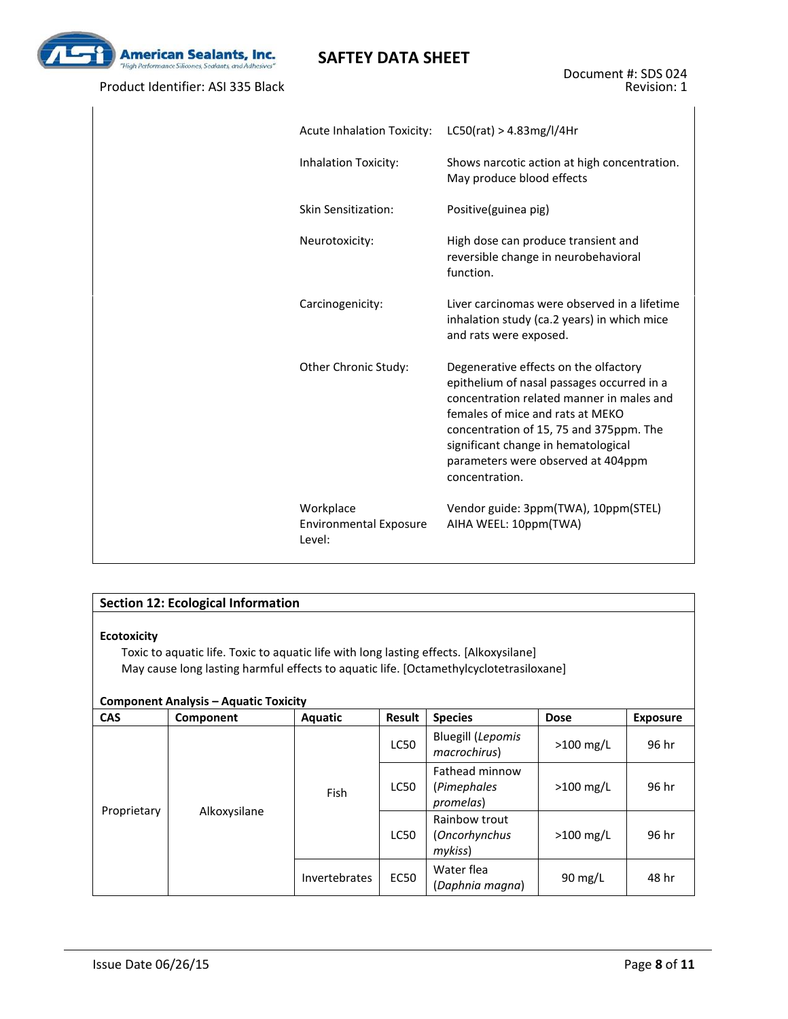

Product Identifier: ASI 335 Black

| <b>Acute Inhalation Toxicity:</b>                    | LCSO(rat) > 4.83mg/l/4Hr                                                                                                                                                                                                                                                                                       |
|------------------------------------------------------|----------------------------------------------------------------------------------------------------------------------------------------------------------------------------------------------------------------------------------------------------------------------------------------------------------------|
| Inhalation Toxicity:                                 | Shows narcotic action at high concentration.<br>May produce blood effects                                                                                                                                                                                                                                      |
| Skin Sensitization:                                  | Positive(guinea pig)                                                                                                                                                                                                                                                                                           |
| Neurotoxicity:                                       | High dose can produce transient and<br>reversible change in neurobehavioral<br>function.                                                                                                                                                                                                                       |
| Carcinogenicity:                                     | Liver carcinomas were observed in a lifetime<br>inhalation study (ca.2 years) in which mice<br>and rats were exposed.                                                                                                                                                                                          |
| Other Chronic Study:                                 | Degenerative effects on the olfactory<br>epithelium of nasal passages occurred in a<br>concentration related manner in males and<br>females of mice and rats at MEKO<br>concentration of 15, 75 and 375ppm. The<br>significant change in hematological<br>parameters were observed at 404ppm<br>concentration. |
| Workplace<br><b>Environmental Exposure</b><br>Level: | Vendor guide: 3ppm(TWA), 10ppm(STEL)<br>AIHA WEEL: 10ppm(TWA)                                                                                                                                                                                                                                                  |

### **Section 12: Ecological Information**

#### **Ecotoxicity**

Toxic to aquatic life. Toxic to aquatic life with long lasting effects. [Alkoxysilane] May cause long lasting harmful effects to aquatic life. [Octamethylcyclotetrasiloxane]

#### **Component Analysis – Aquatic Toxicity**

| <b>CAS</b>  | Component    | Aquatic       | Result                                     | <b>Species</b>                            | <b>Dose</b>       | <b>Exposure</b> |
|-------------|--------------|---------------|--------------------------------------------|-------------------------------------------|-------------------|-----------------|
|             |              |               | LC50                                       | <b>Bluegill (Lepomis</b><br>macrochirus)  | $>100$ mg/L       | 96 hr           |
|             | Fish         | <b>LC50</b>   | Fathead minnow<br>(Pimephales<br>promelas) | $>100$ mg/L                               | 96 hr             |                 |
| Proprietary | Alkoxysilane |               | <b>LC50</b>                                | Rainbow trout<br>(Oncorhynchus<br>mykiss) | $>100$ mg/L       | 96 hr           |
|             |              | Invertebrates | <b>EC50</b>                                | Water flea<br>(Daphnia magna)             | $90 \text{ mg/L}$ | 48 hr           |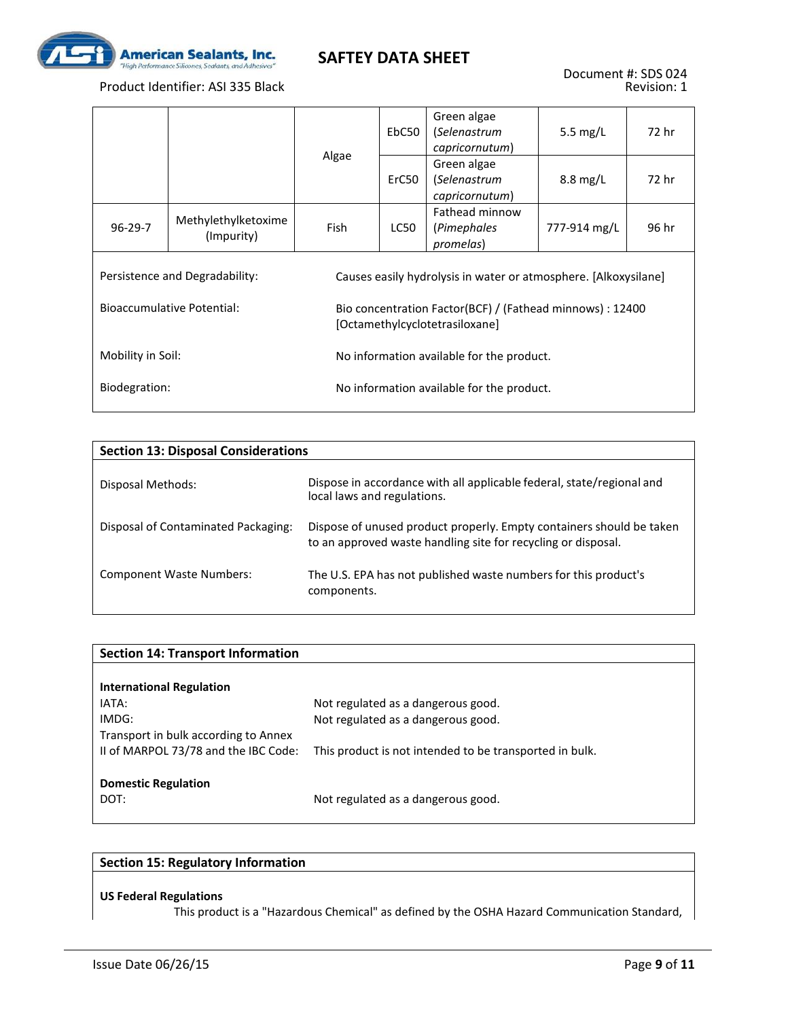

|                   |                                                                                                   |                                                                                             | EbC50                                     | Green algae<br>(Selenastrum<br>capricornutum) | 5.5 $mg/L$         | 72 hr |  |
|-------------------|---------------------------------------------------------------------------------------------------|---------------------------------------------------------------------------------------------|-------------------------------------------|-----------------------------------------------|--------------------|-------|--|
|                   |                                                                                                   | Algae                                                                                       | ErC50                                     | Green algae<br>(Selenastrum<br>capricornutum) | $8.8 \text{ mg/L}$ | 72 hr |  |
| $96-29-7$         | Methylethylketoxime<br>(Impurity)                                                                 | <b>Fish</b>                                                                                 | LC50                                      | Fathead minnow<br>(Pimephales<br>promelas)    | 777-914 mg/L       | 96 hr |  |
|                   | Persistence and Degradability:<br>Causes easily hydrolysis in water or atmosphere. [Alkoxysilane] |                                                                                             |                                           |                                               |                    |       |  |
|                   | <b>Bioaccumulative Potential:</b>                                                                 | Bio concentration Factor(BCF) / (Fathead minnows) : 12400<br>[Octamethylcyclotetrasiloxane] |                                           |                                               |                    |       |  |
| Mobility in Soil: |                                                                                                   | No information available for the product.                                                   |                                           |                                               |                    |       |  |
| Biodegration:     |                                                                                                   |                                                                                             | No information available for the product. |                                               |                    |       |  |

| <b>Section 13: Disposal Considerations</b> |                                                                                                                                       |
|--------------------------------------------|---------------------------------------------------------------------------------------------------------------------------------------|
| Disposal Methods:                          | Dispose in accordance with all applicable federal, state/regional and<br>local laws and regulations.                                  |
| Disposal of Contaminated Packaging:        | Dispose of unused product properly. Empty containers should be taken<br>to an approved waste handling site for recycling or disposal. |
| Component Waste Numbers:                   | The U.S. EPA has not published waste numbers for this product's<br>components.                                                        |

| <b>Section 14: Transport Information</b> |                                                         |
|------------------------------------------|---------------------------------------------------------|
|                                          |                                                         |
| <b>International Regulation</b>          |                                                         |
| IATA:                                    | Not regulated as a dangerous good.                      |
| IMDG:                                    | Not regulated as a dangerous good.                      |
| Transport in bulk according to Annex     |                                                         |
| II of MARPOL 73/78 and the IBC Code:     | This product is not intended to be transported in bulk. |
|                                          |                                                         |
| <b>Domestic Regulation</b>               |                                                         |
| DOT:                                     | Not regulated as a dangerous good.                      |
|                                          |                                                         |

#### **Section 15: Regulatory Information**

#### **US Federal Regulations**

This product is a "Hazardous Chemical" as defined by the OSHA Hazard Communication Standard,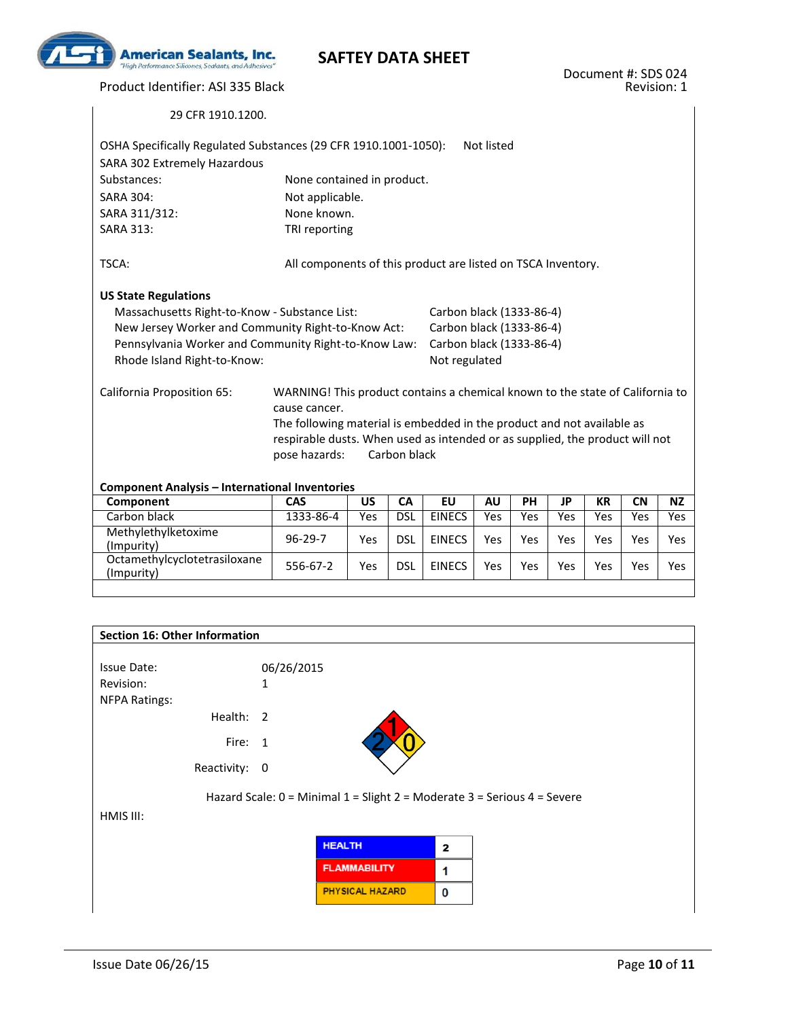

Product Identifier: ASI 335 Black

| OSHA Specifically Regulated Substances (29 CFR 1910.1001-1050):<br>SARA 302 Extremely Hazardous |                                                                                               |           |              |                          | Not listed |            |           |           |           |           |
|-------------------------------------------------------------------------------------------------|-----------------------------------------------------------------------------------------------|-----------|--------------|--------------------------|------------|------------|-----------|-----------|-----------|-----------|
| Substances:                                                                                     | None contained in product.                                                                    |           |              |                          |            |            |           |           |           |           |
| <b>SARA 304:</b>                                                                                | Not applicable.                                                                               |           |              |                          |            |            |           |           |           |           |
| SARA 311/312:                                                                                   | None known.                                                                                   |           |              |                          |            |            |           |           |           |           |
| <b>SARA 313:</b>                                                                                | TRI reporting                                                                                 |           |              |                          |            |            |           |           |           |           |
| TSCA:                                                                                           | All components of this product are listed on TSCA Inventory.                                  |           |              |                          |            |            |           |           |           |           |
| <b>US State Regulations</b>                                                                     |                                                                                               |           |              |                          |            |            |           |           |           |           |
| Massachusetts Right-to-Know - Substance List:                                                   |                                                                                               |           |              | Carbon black (1333-86-4) |            |            |           |           |           |           |
| New Jersey Worker and Community Right-to-Know Act:                                              |                                                                                               |           |              | Carbon black (1333-86-4) |            |            |           |           |           |           |
| Pennsylvania Worker and Community Right-to-Know Law:                                            |                                                                                               |           |              | Carbon black (1333-86-4) |            |            |           |           |           |           |
| Rhode Island Right-to-Know:                                                                     |                                                                                               |           |              | Not regulated            |            |            |           |           |           |           |
| California Proposition 65:                                                                      | WARNING! This product contains a chemical known to the state of California to                 |           |              |                          |            |            |           |           |           |           |
|                                                                                                 | cause cancer.<br>The following material is embedded in the product and not available as       |           |              |                          |            |            |           |           |           |           |
|                                                                                                 |                                                                                               |           |              |                          |            |            |           |           |           |           |
|                                                                                                 | respirable dusts. When used as intended or as supplied, the product will not<br>pose hazards: |           | Carbon black |                          |            |            |           |           |           |           |
|                                                                                                 |                                                                                               |           |              |                          |            |            |           |           |           |           |
| <b>Component Analysis - International Inventories</b>                                           |                                                                                               |           |              |                          |            |            |           |           |           |           |
| Component                                                                                       | $CA\overline{S}$                                                                              | <b>US</b> | <b>CA</b>    | <b>EU</b>                | <b>AU</b>  | <b>PH</b>  | <b>JP</b> | <b>KR</b> | <b>CN</b> | <b>NZ</b> |
| Carbon black                                                                                    | 1333-86-4                                                                                     | Yes       | <b>DSL</b>   | <b>EINECS</b>            | Yes        | <b>Yes</b> | Yes       | Yes       | Yes       | Yes       |
| Methylethylketoxime<br>(Impurity)                                                               | $96 - 29 - 7$                                                                                 | Yes       | <b>DSL</b>   | <b>EINECS</b>            | Yes        | Yes        | Yes       | Yes       | Yes       | Yes       |
| Octamethylcyclotetrasiloxane<br>(Impurity)                                                      | 556-67-2                                                                                      | Yes       | <b>DSL</b>   | <b>EINECS</b>            | Yes        | <b>Yes</b> | Yes       | Yes       | Yes       | Yes       |

| Section 16: Other Information     |                                                                          |                         |  |
|-----------------------------------|--------------------------------------------------------------------------|-------------------------|--|
| <b>Issue Date:</b><br>Revision:   | 06/26/2015<br>1                                                          |                         |  |
| <b>NFPA Ratings:</b><br>Health: 2 |                                                                          |                         |  |
| Fire: 1                           |                                                                          |                         |  |
| Reactivity: 0                     |                                                                          |                         |  |
|                                   | Hazard Scale: 0 = Minimal 1 = Slight 2 = Moderate 3 = Serious 4 = Severe |                         |  |
| HMIS III:                         |                                                                          |                         |  |
|                                   | <b>HEALTH</b>                                                            | $\overline{\mathbf{2}}$ |  |
|                                   | <b>FLAMMABILITY</b>                                                      | 1                       |  |
|                                   | <b>PHYSICAL HAZARD</b>                                                   | 0                       |  |